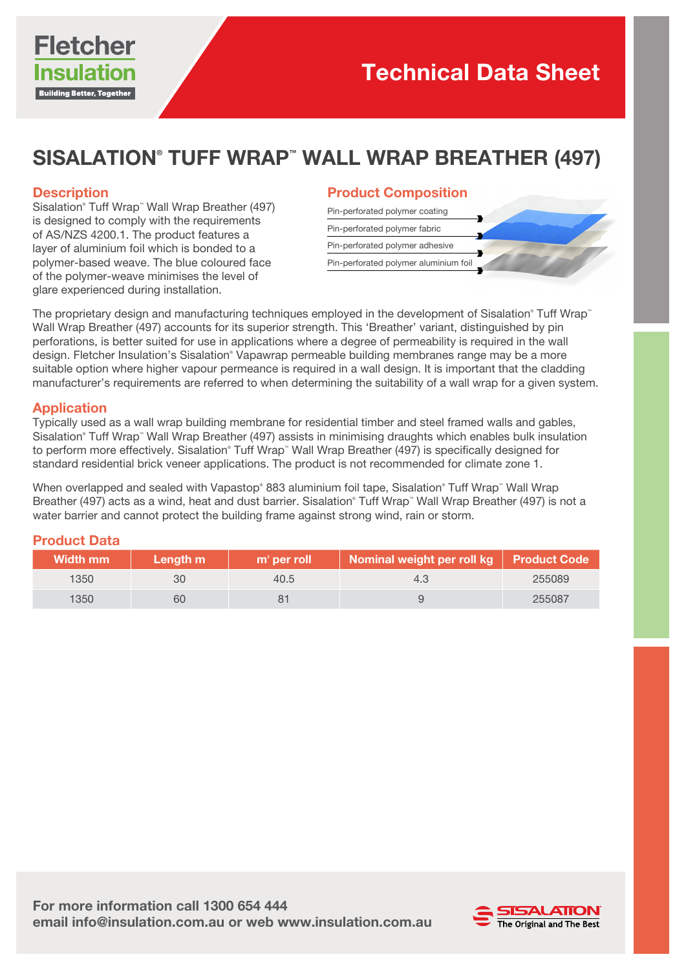

# SISALATION® TUFF WRAP™ WALL WRAP BREATHER (497)

## **Description**

Sisalation® Tuff Wrap™ Wall Wrap Breather (497) is designed to comply with the requirements of AS/NZS 4200.1. The product features a layer of aluminium foil which is bonded to a polymer-based weave. The blue coloured face of the polymer-weave minimises the level of glare experienced during installation.

#### Product Composition

| Pin-perforated polymer coating        |  |
|---------------------------------------|--|
| Pin-perforated polymer fabric         |  |
| Pin-perforated polymer adhesive       |  |
| Pin-perforated polymer aluminium foil |  |

The proprietary design and manufacturing techniques employed in the development of Sisalation® Tuff Wrap® Wall Wrap Breather (497) accounts for its superior strength. This 'Breather' variant, distinguished by pin perforations, is better suited for use in applications where a degree of permeability is required in the wall design. Fletcher Insulation's Sisalation<sup>®</sup> Vapawrap permeable building membranes range may be a more suitable option where higher vapour permeance is required in a wall design. It is important that the cladding manufacturer's requirements are referred to when determining the suitability of a wall wrap for a given system.

## Application

Typically used as a wall wrap building membrane for residential timber and steel framed walls and gables, Sisalation® Tuff Wrap™ Wall Wrap Breather (497) assists in minimising draughts which enables bulk insulation to perform more effectively. Sisalation® Tuff Wrap™ Wall Wrap Breather (497) is specifically designed for standard residential brick veneer applications. The product is not recommended for climate zone 1.

When overlapped and sealed with Vapastop® 883 aluminium foil tape, Sisalation® Tuff Wrap™ Wall Wrap Breather (497) acts as a wind, heat and dust barrier. Sisalation® Tuff Wrap™ Wall Wrap Breather (497) is not a water barrier and cannot protect the building frame against strong wind, rain or storm.

## Product Data

| <b>Width mm</b> | Length m | $m2$ per roll | Nominal weight per roll kg Product Code |        |
|-----------------|----------|---------------|-----------------------------------------|--------|
| 1350            | 30       | 40.5          | 4.3                                     | 255089 |
| 1350            | 60       |               |                                         | 255087 |

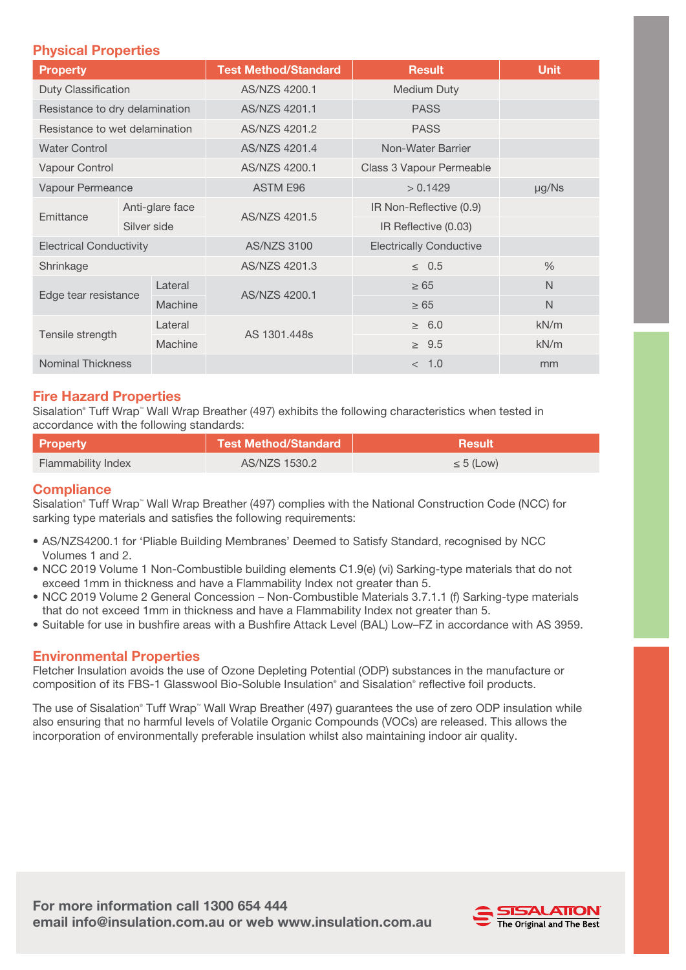## Physical Properties

| <b>Property</b>                |             | <b>Test Method/Standard</b> | <b>Result</b>                  | <b>Unit</b>             |              |
|--------------------------------|-------------|-----------------------------|--------------------------------|-------------------------|--------------|
| Duty Classification            |             | AS/NZS 4200.1               | <b>Medium Duty</b>             |                         |              |
| Resistance to dry delamination |             | AS/NZS 4201.1               | <b>PASS</b>                    |                         |              |
| Resistance to wet delamination |             | AS/NZS 4201.2               | <b>PASS</b>                    |                         |              |
| <b>Water Control</b>           |             | AS/NZS 4201.4               | Non-Water Barrier              |                         |              |
| Vapour Control                 |             | AS/NZS 4200.1               | Class 3 Vapour Permeable       |                         |              |
| Vapour Permeance               |             | ASTM E96                    | > 0.1429                       | µg/Ns                   |              |
| Emittance                      |             | Anti-glare face             |                                | IR Non-Reflective (0.9) |              |
|                                | Silver side |                             | AS/NZS 4201.5                  | IR Reflective (0.03)    |              |
| <b>Electrical Conductivity</b> |             | <b>AS/NZS 3100</b>          | <b>Electrically Conductive</b> |                         |              |
| Shrinkage                      |             | AS/NZS 4201.3               | $\leq$ 0.5                     | $\frac{0}{0}$           |              |
| Edge tear resistance           |             | Lateral                     | AS/NZS 4200.1                  | $\geq 65$               | $\mathsf{N}$ |
|                                |             | Machine                     |                                | $\geq 65$               | N            |
| Tensile strength               |             | Lateral                     |                                | $\geq 6.0$              | kN/m         |
|                                |             | Machine                     | AS 1301,448s                   | $\geq 9.5$              | kN/m         |
| <b>Nominal Thickness</b>       |             |                             | < 1.0                          | mm                      |              |

## Fire Hazard Properties

Sisalation® Tuff Wrap™ Wall Wrap Breather (497) exhibits the following characteristics when tested in accordance with the following standards:

| <b>Property</b>    | Test Method/Standard | <b>Result</b>  |
|--------------------|----------------------|----------------|
| Flammability Index | AS/NZS 1530.2        | $\leq 5$ (Low) |

## **Compliance**

Sisalation® Tuff Wrap™ Wall Wrap Breather (497) complies with the National Construction Code (NCC) for sarking type materials and satisfies the following requirements:

- AS/NZS4200.1 for 'Pliable Building Membranes' Deemed to Satisfy Standard, recognised by NCC Volumes 1 and 2.
- NCC 2019 Volume 1 Non-Combustible building elements C1.9(e) (vi) Sarking-type materials that do not exceed 1mm in thickness and have a Flammability Index not greater than 5.
- NCC 2019 Volume 2 General Concession Non-Combustible Materials 3.7.1.1 (f) Sarking-type materials that do not exceed 1mm in thickness and have a Flammability Index not greater than 5.
- Suitable for use in bushfire areas with a Bushfire Attack Level (BAL) Low–FZ in accordance with AS 3959.

## Environmental Properties

Fletcher Insulation avoids the use of Ozone Depleting Potential (ODP) substances in the manufacture or composition of its FBS-1 Glasswool Bio-Soluble Insulation® and Sisalation® reflective foil products.

The use of Sisalation® Tuff Wrap™ Wall Wrap Breather (497) guarantees the use of zero ODP insulation while also ensuring that no harmful levels of Volatile Organic Compounds (VOCs) are released. This allows the incorporation of environmentally preferable insulation whilst also maintaining indoor air quality.